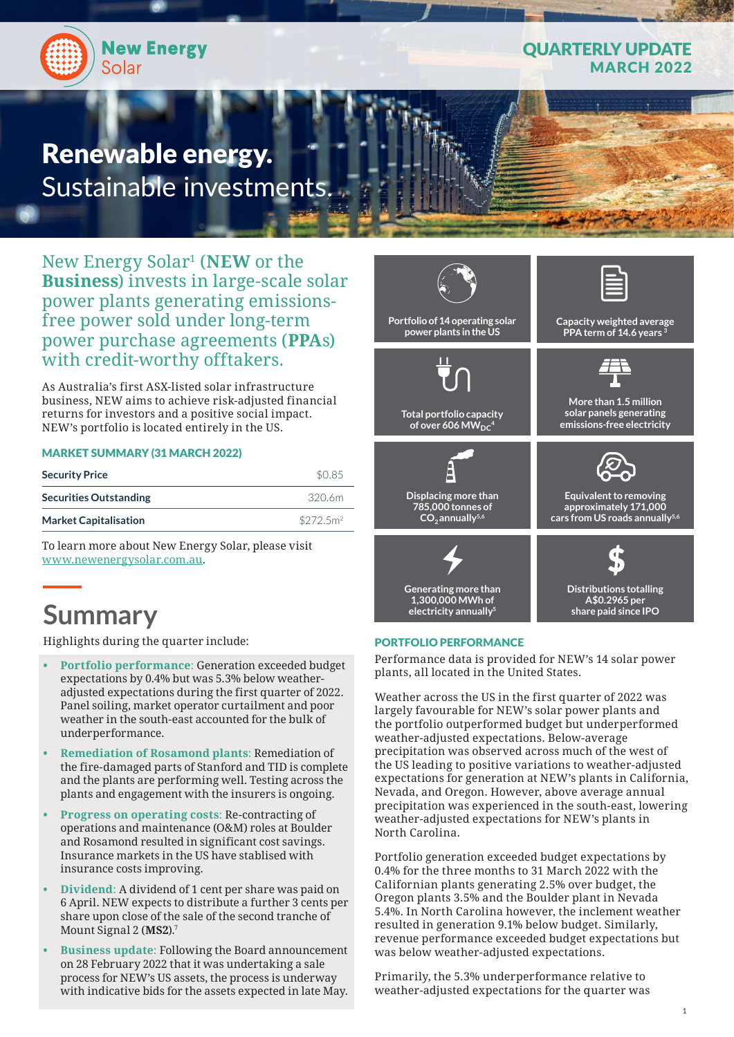

## QUARTERLY UPDATE **ARCH 2022**

# Renewable energy. Sustainable investments.

New Energy Solar1 (**NEW** or the **Business**) invests in large-scale solar power plants generating emissionsfree power sold under long-term power purchase agreements (**PPA**s) with credit-worthy offtakers.

As Australia's first ASX-listed solar infrastructure business, NEW aims to achieve risk-adjusted financial returns for investors and a positive social impact. NEW's portfolio is located entirely in the US.

#### MARKET SUMMARY (31 MARCH 2022)

| <b>Security Price</b>         | \$0.85                |
|-------------------------------|-----------------------|
| <b>Securities Outstanding</b> | 320.6m                |
| <b>Market Capitalisation</b>  | \$272.5m <sup>2</sup> |

To learn more about New Energy Solar, please visit www.newenergysolar.com.au.

# **Summary**

Highlights during the quarter include:

- **• Portfolio performance**: Generation exceeded budget expectations by 0.4% but was 5.3% below weatheradjusted expectations during the first quarter of 2022. Panel soiling, market operator curtailment and poor weather in the south-east accounted for the bulk of underperformance.
- **• Remediation of Rosamond plants**: Remediation of the fire-damaged parts of Stanford and TID is complete and the plants are performing well. Testing across the plants and engagement with the insurers is ongoing.
- **• Progress on operating costs**: Re-contracting of operations and maintenance (O&M) roles at Boulder and Rosamond resulted in significant cost savings. Insurance markets in the US have stablised with insurance costs improving.
- **• Dividend**: A dividend of 1 cent per share was paid on 6 April. NEW expects to distribute a further 3 cents per share upon close of the sale of the second tranche of Mount Signal 2 (**MS2**).7
- **• Business update**: Following the Board announcement on 28 February 2022 that it was undertaking a sale process for NEW's US assets, the process is underway with indicative bids for the assets expected in late May.



#### PORTFOLIO PERFORMANCE

Performance data is provided for NEW's 14 solar power plants, all located in the United States.

Weather across the US in the first quarter of 2022 was largely favourable for NEW's solar power plants and the portfolio outperformed budget but underperformed weather-adjusted expectations. Below-average precipitation was observed across much of the west of the US leading to positive variations to weather-adjusted expectations for generation at NEW's plants in California, Nevada, and Oregon. However, above average annual precipitation was experienced in the south-east, lowering weather-adjusted expectations for NEW's plants in North Carolina.

Portfolio generation exceeded budget expectations by 0.4% for the three months to 31 March 2022 with the Californian plants generating 2.5% over budget, the Oregon plants 3.5% and the Boulder plant in Nevada 5.4%. In North Carolina however, the inclement weather resulted in generation 9.1% below budget. Similarly, revenue performance exceeded budget expectations but was below weather-adjusted expectations.

Primarily, the 5.3% underperformance relative to weather-adjusted expectations for the quarter was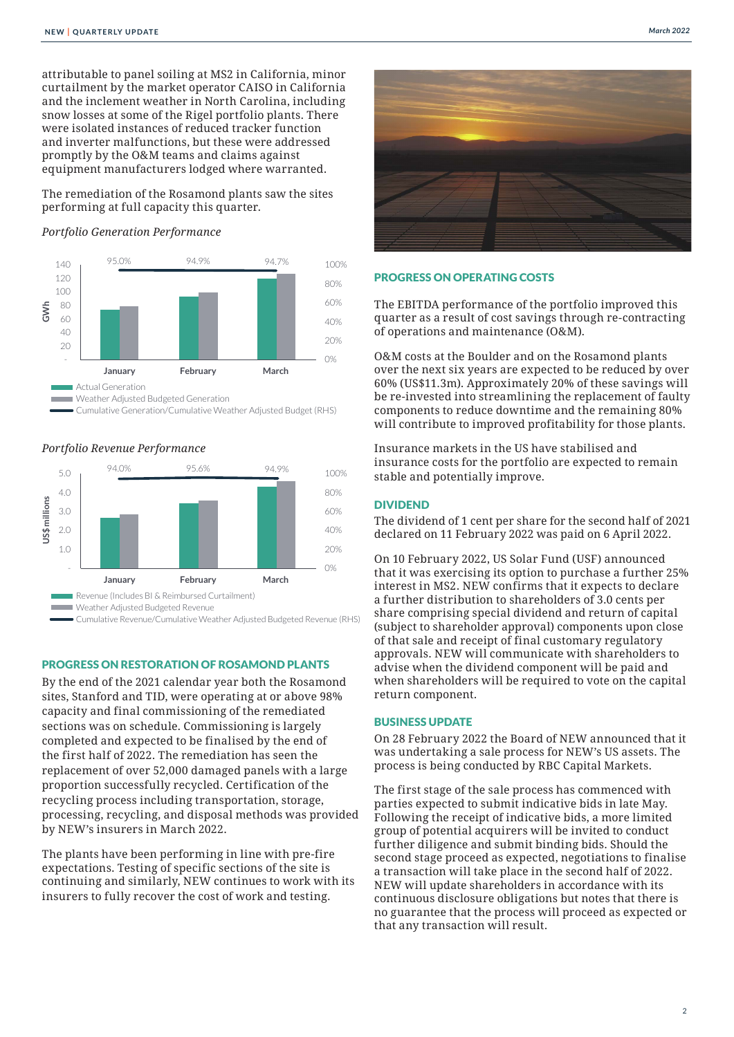attributable to panel soiling at MS2 in California, minor curtailment by the market operator CAISO in California and the inclement weather in North Carolina, including snow losses at some of the Rigel portfolio plants. There **Portfolio Generation Performance** were isolated instances of reduced tracker function and inverter malfunctions, but these were addressed promptly by the O&M teams and claims against equipment manufacturers lodged where warranted.

The remediation of the Rosamond plants saw the sites performing at full capacity this quarter.<br>————————————————————

#### *Portfolio Generation Performance* 40  $\overline{a}$



Cumulative Generation/Cumulative Weather Adjusted Budget (RHS) **Portfolio Revenue Performance**



### PROGRESS ON RESTORATION OF ROSAMOND PLANTS

By the end of the 2021 calendar year both the Rosamond  $R_{\text{t}}$  and  $R_{\text{t}}$  and  $R_{\text{t}}$  are current curtainsting  $R_{\text{t}}$ sites, Stanford and TID, were operating at or above 98% capacity and final commissioning of the remediated sections was on schedule. Commissioning is largely completed and expected to be finalised by the end of the first half of 2022. The remediation has seen the replacement of over 52,000 damaged panels with a large proportion successfully recycled. Certification of the recycling process including transportation, storage, processing, recycling, and disposal methods was provided by NEW's insurers in March 2022.

The plants have been performing in line with pre-fire expectations. Testing of specific sections of the site is continuing and similarly, NEW continues to work with its insurers to fully recover the cost of work and testing.



#### PROGRESS ON OPERATING COSTS

The EBITDA performance of the portfolio improved this quarter as a result of cost savings through re-contracting of operations and maintenance (O&M).

O&M costs at the Boulder and on the Rosamond plants over the next six years are expected to be reduced by over 60% (US\$11.3m). Approximately 20% of these savings will be re-invested into streamlining the replacement of faulty components to reduce downtime and the remaining 80% will contribute to improved profitability for those plants.

Insurance markets in the US have stabilised and insurance costs for the portfolio are expected to remain stable and potentially improve.

#### DIVIDEND

The dividend of 1 cent per share for the second half of 2021 declared on 11 February 2022 was paid on 6 April 2022.

On 10 February 2022, US Solar Fund (USF) announced that it was exercising its option to purchase a further 25% interest in MS2. NEW confirms that it expects to declare a further distribution to shareholders of 3.0 cents per share comprising special dividend and return of capital (subject to shareholder approval) components upon close of that sale and receipt of final customary regulatory approvals. NEW will communicate with shareholders to advise when the dividend component will be paid and when shareholders will be required to vote on the capital return component.

#### BUSINESS UPDATE

On 28 February 2022 the Board of NEW announced that it was undertaking a sale process for NEW's US assets. The process is being conducted by RBC Capital Markets.

The first stage of the sale process has commenced with parties expected to submit indicative bids in late May. Following the receipt of indicative bids, a more limited group of potential acquirers will be invited to conduct further diligence and submit binding bids. Should the second stage proceed as expected, negotiations to finalise a transaction will take place in the second half of 2022. NEW will update shareholders in accordance with its continuous disclosure obligations but notes that there is no guarantee that the process will proceed as expected or that any transaction will result.